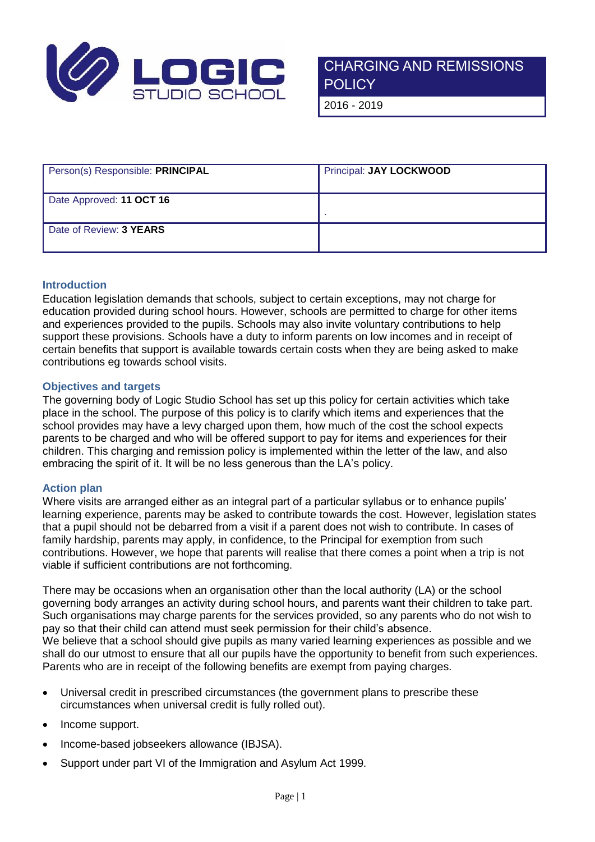

**POLICY** 

2016 - 2019

| Person(s) Responsible: PRINCIPAL | <b>Principal: JAY LOCKWOOD</b> |
|----------------------------------|--------------------------------|
| Date Approved: 11 OCT 16         |                                |
| Date of Review: 3 YEARS          |                                |

## **Introduction**

Education legislation demands that schools, subject to certain exceptions, may not charge for education provided during school hours. However, schools are permitted to charge for other items and experiences provided to the pupils. Schools may also invite voluntary contributions to help support these provisions. Schools have a duty to inform parents on low incomes and in receipt of certain benefits that support is available towards certain costs when they are being asked to make contributions eg towards school visits.

## **Objectives and targets**

The governing body of Logic Studio School has set up this policy for certain activities which take place in the school. The purpose of this policy is to clarify which items and experiences that the school provides may have a levy charged upon them, how much of the cost the school expects parents to be charged and who will be offered support to pay for items and experiences for their children. This charging and remission policy is implemented within the letter of the law, and also embracing the spirit of it. It will be no less generous than the LA's policy.

## **Action plan**

Where visits are arranged either as an integral part of a particular syllabus or to enhance pupils' learning experience, parents may be asked to contribute towards the cost. However, legislation states that a pupil should not be debarred from a visit if a parent does not wish to contribute. In cases of family hardship, parents may apply, in confidence, to the Principal for exemption from such contributions. However, we hope that parents will realise that there comes a point when a trip is not viable if sufficient contributions are not forthcoming.

There may be occasions when an organisation other than the local authority (LA) or the school governing body arranges an activity during school hours, and parents want their children to take part. Such organisations may charge parents for the services provided, so any parents who do not wish to pay so that their child can attend must seek permission for their child's absence. We believe that a school should give pupils as many varied learning experiences as possible and we shall do our utmost to ensure that all our pupils have the opportunity to benefit from such experiences. Parents who are in receipt of the following benefits are exempt from paying charges.

- Universal credit in prescribed circumstances (the government plans to prescribe these circumstances when universal credit is fully rolled out).
- Income support.
- Income-based jobseekers allowance (IBJSA).
- Support under part VI of the Immigration and Asylum Act 1999.